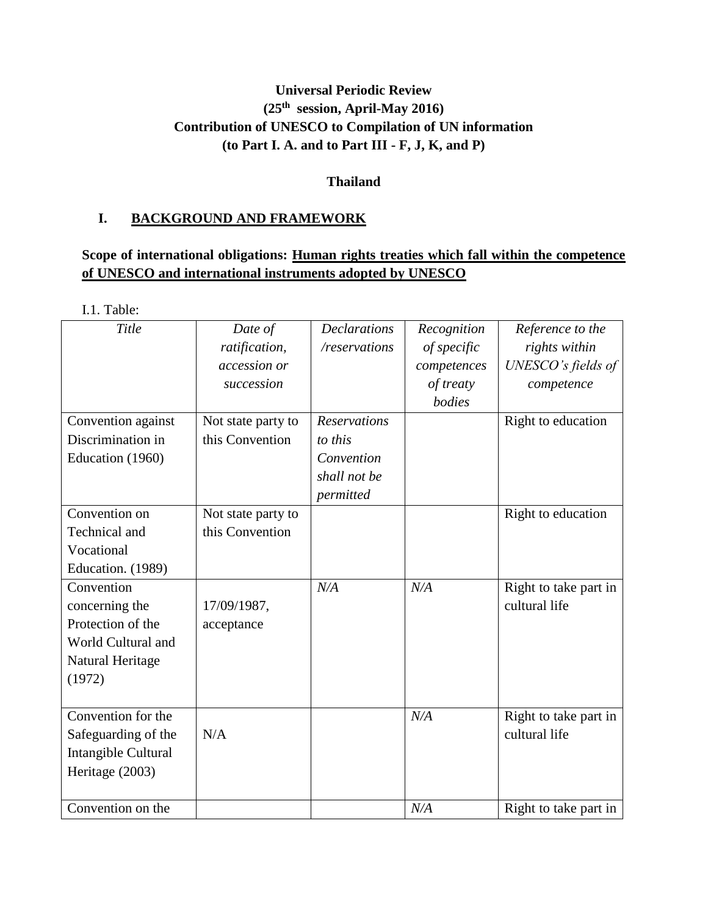# **Universal Periodic Review (25th session, April-May 2016) Contribution of UNESCO to Compilation of UN information (to Part I. A. and to Part III - F, J, K, and P)**

# **Thailand**

# **I. BACKGROUND AND FRAMEWORK**

# **Scope of international obligations: Human rights treaties which fall within the competence of UNESCO and international instruments adopted by UNESCO**

I.1. Table:

| Title                                                                                                 | Date of<br>ratification,<br>accession or<br>succession | <b>Declarations</b><br>/reservations                                      | Recognition<br>of specific<br>competences<br>of treaty<br>bodies | Reference to the<br>rights within<br>UNESCO's fields of<br>competence |
|-------------------------------------------------------------------------------------------------------|--------------------------------------------------------|---------------------------------------------------------------------------|------------------------------------------------------------------|-----------------------------------------------------------------------|
| Convention against<br>Discrimination in<br>Education (1960)                                           | Not state party to<br>this Convention                  | <b>Reservations</b><br>to this<br>Convention<br>shall not be<br>permitted |                                                                  | Right to education                                                    |
| Convention on<br>Technical and<br>Vocational<br>Education. (1989)                                     | Not state party to<br>this Convention                  |                                                                           |                                                                  | Right to education                                                    |
| Convention<br>concerning the<br>Protection of the<br>World Cultural and<br>Natural Heritage<br>(1972) | 17/09/1987,<br>acceptance                              | N/A                                                                       | N/A                                                              | Right to take part in<br>cultural life                                |
| Convention for the<br>Safeguarding of the<br>Intangible Cultural<br>Heritage (2003)                   | N/A                                                    |                                                                           | N/A                                                              | Right to take part in<br>cultural life                                |
| Convention on the                                                                                     |                                                        |                                                                           | N/A                                                              | Right to take part in                                                 |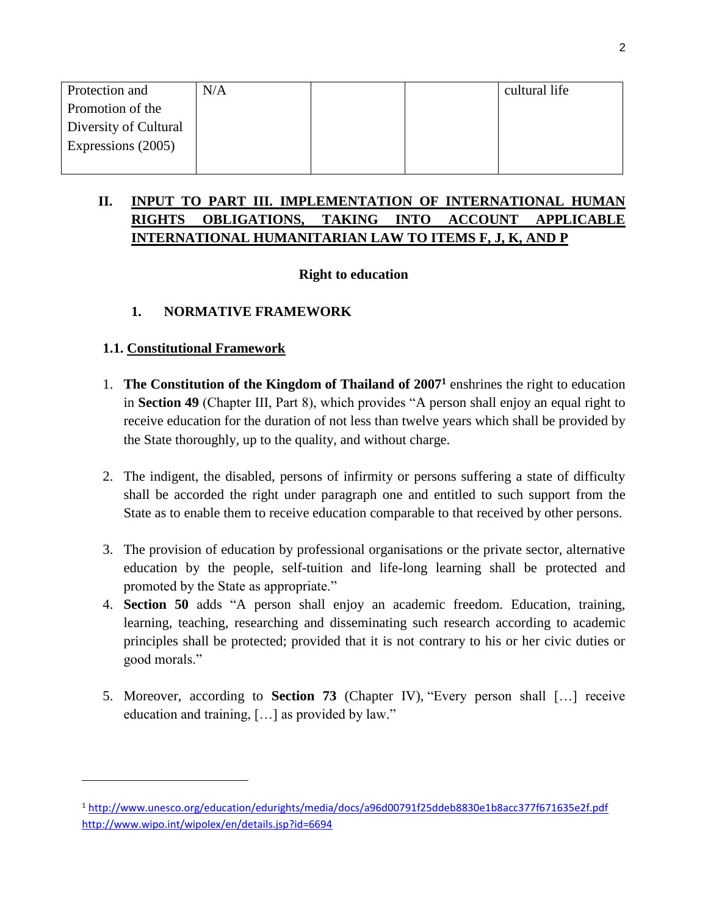| Protection and        | N/A |  | cultural life |
|-----------------------|-----|--|---------------|
| Promotion of the      |     |  |               |
| Diversity of Cultural |     |  |               |
| Expressions (2005)    |     |  |               |
|                       |     |  |               |

# **II. INPUT TO PART III. IMPLEMENTATION OF INTERNATIONAL HUMAN RIGHTS OBLIGATIONS, TAKING INTO ACCOUNT APPLICABLE INTERNATIONAL HUMANITARIAN LAW TO ITEMS F, J, K, AND P**

# **Right to education**

# **1. NORMATIVE FRAMEWORK**

# **1.1. Constitutional Framework**

- 1. **The Constitution of the Kingdom of Thailand of 2007<sup>1</sup>** enshrines the right to education in **Section 49** (Chapter III, Part 8), which provides "A person shall enjoy an equal right to receive education for the duration of not less than twelve years which shall be provided by the State thoroughly, up to the quality, and without charge.
- 2. The indigent, the disabled, persons of infirmity or persons suffering a state of difficulty shall be accorded the right under paragraph one and entitled to such support from the State as to enable them to receive education comparable to that received by other persons.
- 3. The provision of education by professional organisations or the private sector, alternative education by the people, self-tuition and life-long learning shall be protected and promoted by the State as appropriate."
- 4. **Section 50** adds "A person shall enjoy an academic freedom. Education, training, learning, teaching, researching and disseminating such research according to academic principles shall be protected; provided that it is not contrary to his or her civic duties or good morals."
- 5. Moreover, according to **Section 73** (Chapter IV), "Every person shall […] receive education and training, […] as provided by law."

<sup>1</sup> <http://www.unesco.org/education/edurights/media/docs/a96d00791f25ddeb8830e1b8acc377f671635e2f.pdf> <http://www.wipo.int/wipolex/en/details.jsp?id=6694>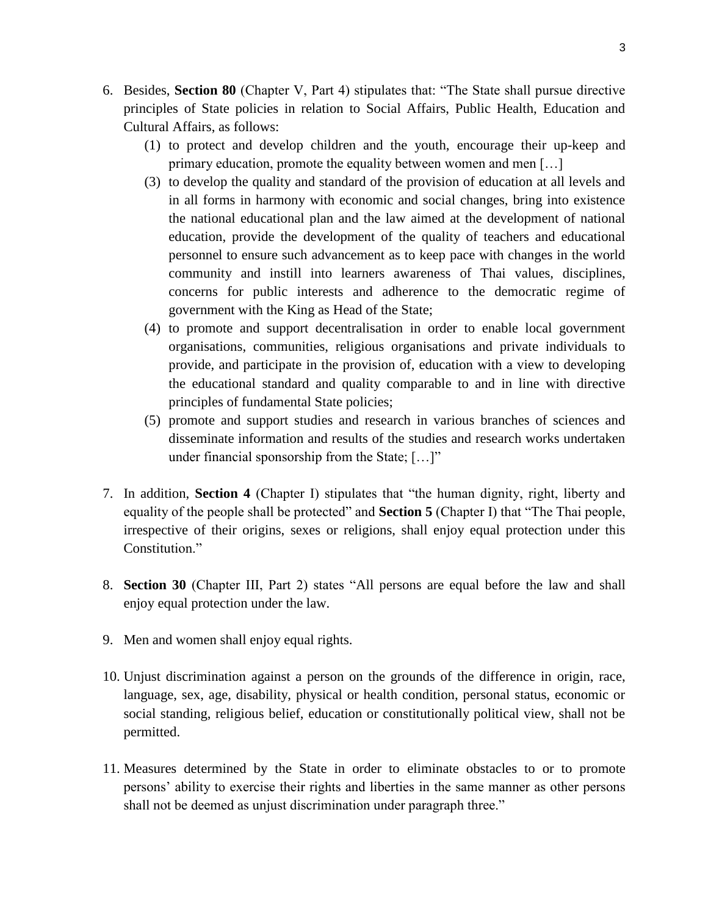- 6. Besides, **Section 80** (Chapter V, Part 4) stipulates that: "The State shall pursue directive principles of State policies in relation to Social Affairs, Public Health, Education and Cultural Affairs, as follows:
	- (1) to protect and develop children and the youth, encourage their up-keep and primary education, promote the equality between women and men […]
	- (3) to develop the quality and standard of the provision of education at all levels and in all forms in harmony with economic and social changes, bring into existence the national educational plan and the law aimed at the development of national education, provide the development of the quality of teachers and educational personnel to ensure such advancement as to keep pace with changes in the world community and instill into learners awareness of Thai values, disciplines, concerns for public interests and adherence to the democratic regime of government with the King as Head of the State;
	- (4) to promote and support decentralisation in order to enable local government organisations, communities, religious organisations and private individuals to provide, and participate in the provision of, education with a view to developing the educational standard and quality comparable to and in line with directive principles of fundamental State policies;
	- (5) promote and support studies and research in various branches of sciences and disseminate information and results of the studies and research works undertaken under financial sponsorship from the State; [...]"
- 7. In addition, **Section 4** (Chapter I) stipulates that "the human dignity, right, liberty and equality of the people shall be protected" and **Section 5** (Chapter I) that "The Thai people, irrespective of their origins, sexes or religions, shall enjoy equal protection under this Constitution."
- 8. **Section 30** (Chapter III, Part 2) states "All persons are equal before the law and shall enjoy equal protection under the law.
- 9. Men and women shall enjoy equal rights.
- 10. Unjust discrimination against a person on the grounds of the difference in origin, race, language, sex, age, disability, physical or health condition, personal status, economic or social standing, religious belief, education or constitutionally political view, shall not be permitted.
- 11. Measures determined by the State in order to eliminate obstacles to or to promote persons' ability to exercise their rights and liberties in the same manner as other persons shall not be deemed as unjust discrimination under paragraph three."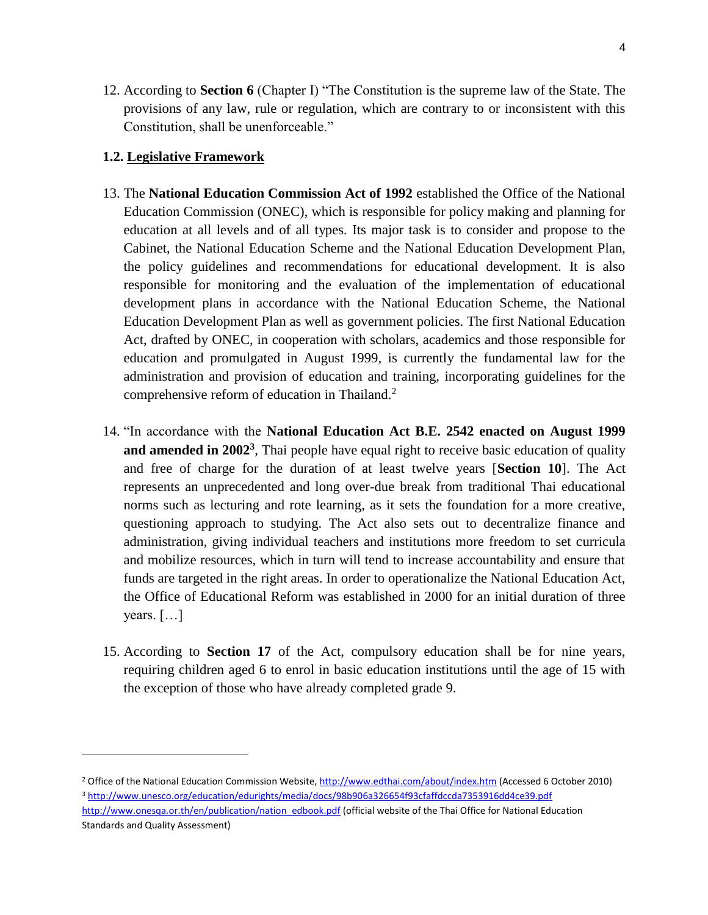12. According to **Section 6** (Chapter I) "The Constitution is the supreme law of the State. The provisions of any law, rule or regulation, which are contrary to or inconsistent with this Constitution, shall be unenforceable."

### **1.2. Legislative Framework**

- 13. The **National Education Commission Act of 1992** established the Office of the National Education Commission (ONEC), which is responsible for policy making and planning for education at all levels and of all types. Its major task is to consider and propose to the Cabinet, the National Education Scheme and the National Education Development Plan, the policy guidelines and recommendations for educational development. It is also responsible for monitoring and the evaluation of the implementation of educational development plans in accordance with the National Education Scheme, the National Education Development Plan as well as government policies. The first National Education Act, drafted by ONEC, in cooperation with scholars, academics and those responsible for education and promulgated in August 1999, is currently the fundamental law for the administration and provision of education and training, incorporating guidelines for the comprehensive reform of education in Thailand.<sup>2</sup>
- 14. "In accordance with the **National Education Act B.E. 2542 enacted on August 1999**  and amended in 2002<sup>3</sup>, Thai people have equal right to receive basic education of quality and free of charge for the duration of at least twelve years [**Section 10**]. The Act represents an unprecedented and long over-due break from traditional Thai educational norms such as lecturing and rote learning, as it sets the foundation for a more creative, questioning approach to studying. The Act also sets out to decentralize finance and administration, giving individual teachers and institutions more freedom to set curricula and mobilize resources, which in turn will tend to increase accountability and ensure that funds are targeted in the right areas. In order to operationalize the National Education Act, the Office of Educational Reform was established in 2000 for an initial duration of three years. […]
- 15. According to **Section 17** of the Act, compulsory education shall be for nine years, requiring children aged 6 to enrol in basic education institutions until the age of 15 with the exception of those who have already completed grade 9.

<sup>2</sup> Office of the National Education Commission Website[, http://www.edthai.com/about/index.htm](http://www.edthai.com/about/index.htm) (Accessed 6 October 2010) <sup>3</sup> <http://www.unesco.org/education/edurights/media/docs/98b906a326654f93cfaffdccda7353916dd4ce39.pdf> [http://www.onesqa.or.th/en/publication/nation\\_edbook.pdf](http://www.onesqa.or.th/en/publication/nation_edbook.pdf) (official website of the Thai Office for National Education Standards and Quality Assessment)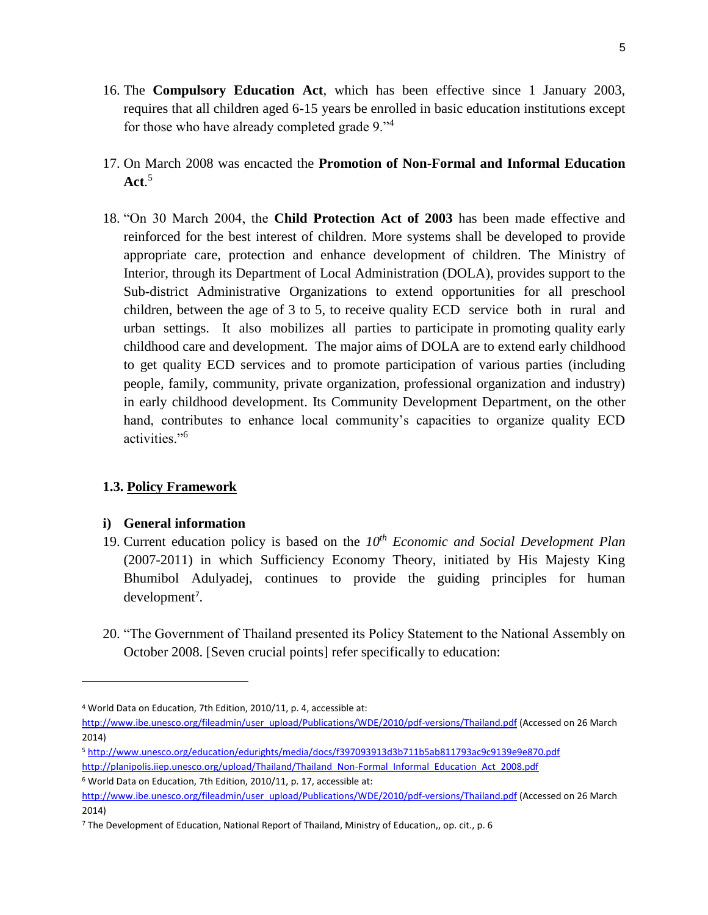- 16. The **Compulsory Education Act**, which has been effective since 1 January 2003, requires that all children aged 6-15 years be enrolled in basic education institutions except for those who have already completed grade 9."<sup>4</sup>
- 17. On March 2008 was encacted the **Promotion of Non-Formal and Informal Education Act**. 5
- 18. "On 30 March 2004, the **Child Protection Act of 2003** has been made effective and reinforced for the best interest of children. More systems shall be developed to provide appropriate care, protection and enhance development of children. The Ministry of Interior, through its Department of Local Administration (DOLA), provides support to the Sub-district Administrative Organizations to extend opportunities for all preschool children, between the age of 3 to 5, to receive quality ECD service both in rural and urban settings. It also mobilizes all parties to participate in promoting quality early childhood care and development. The major aims of DOLA are to extend early childhood to get quality ECD services and to promote participation of various parties (including people, family, community, private organization, professional organization and industry) in early childhood development. Its Community Development Department, on the other hand, contributes to enhance local community's capacities to organize quality ECD activities<sup>"6</sup>

# **1.3. Policy Framework**

# **i) General information**

l

- 19. Current education policy is based on the *10th Economic and Social Development Plan* (2007-2011) in which Sufficiency Economy Theory, initiated by His Majesty King Bhumibol Adulyadej, continues to provide the guiding principles for human development<sup>7</sup>.
- 20. "The Government of Thailand presented its Policy Statement to the National Assembly on October 2008. [Seven crucial points] refer specifically to education:

<sup>5</sup> <http://www.unesco.org/education/edurights/media/docs/f397093913d3b711b5ab811793ac9c9139e9e870.pdf> [http://planipolis.iiep.unesco.org/upload/Thailand/Thailand\\_Non-Formal\\_Informal\\_Education\\_Act\\_2008.pdf](http://planipolis.iiep.unesco.org/upload/Thailand/Thailand_Non-Formal_Informal_Education_Act_2008.pdf)

<sup>6</sup> World Data on Education, 7th Edition, 2010/11, p. 17, accessible at:

<sup>4</sup> World Data on Education, 7th Edition, 2010/11, p. 4, accessible at:

[http://www.ibe.unesco.org/fileadmin/user\\_upload/Publications/WDE/2010/pdf-versions/Thailand.pdf](http://www.ibe.unesco.org/fileadmin/user_upload/Publications/WDE/2010/pdf-versions/Thailand.pdf) (Accessed on 26 March 2014)

[http://www.ibe.unesco.org/fileadmin/user\\_upload/Publications/WDE/2010/pdf-versions/Thailand.pdf](http://www.ibe.unesco.org/fileadmin/user_upload/Publications/WDE/2010/pdf-versions/Thailand.pdf) (Accessed on 26 March 2014)

<sup>7</sup> The Development of Education, National Report of Thailand, Ministry of Education,, op. cit., p. 6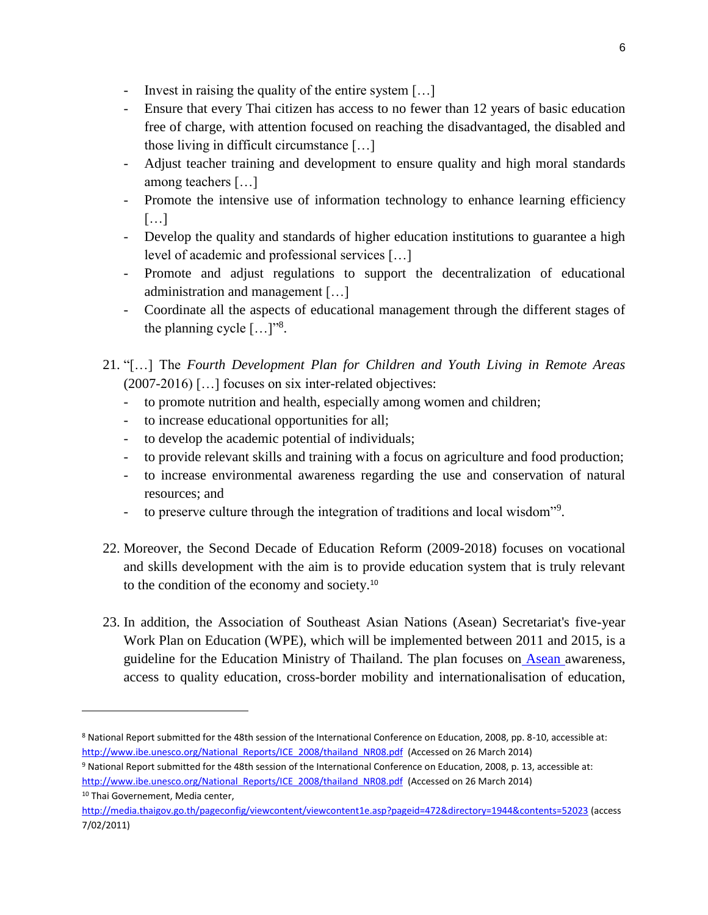- Invest in raising the quality of the entire system […]
- Ensure that every Thai citizen has access to no fewer than 12 years of basic education free of charge, with attention focused on reaching the disadvantaged, the disabled and those living in difficult circumstance […]
- Adjust teacher training and development to ensure quality and high moral standards among teachers […]
- Promote the intensive use of information technology to enhance learning efficiency  $[...]$
- Develop the quality and standards of higher education institutions to guarantee a high level of academic and professional services […]
- Promote and adjust regulations to support the decentralization of educational administration and management […]
- Coordinate all the aspects of educational management through the different stages of the planning cycle  $[...]^{38}$ .
- 21. "[…] The *Fourth Development Plan for Children and Youth Living in Remote Areas* (2007-2016) […] focuses on six inter-related objectives:
	- to promote nutrition and health, especially among women and children;
	- to increase educational opportunities for all;
	- to develop the academic potential of individuals;
	- to provide relevant skills and training with a focus on agriculture and food production;
	- to increase environmental awareness regarding the use and conservation of natural resources; and
	- to preserve culture through the integration of traditions and local wisdom<sup>"9</sup>.
- 22. Moreover, the Second Decade of Education Reform (2009-2018) focuses on vocational and skills development with the aim is to provide education system that is truly relevant to the condition of the economy and society.<sup>10</sup>
- 23. In addition, the Association of Southeast Asian Nations (Asean) Secretariat's five-year Work Plan on Education (WPE), which will be implemented between 2011 and 2015, is a guideline for the Education Ministry of Thailand. The plan focuses on **Asean** awareness, access to quality education, cross-border mobility and internationalisation of education,

<sup>8</sup> National Report submitted for the 48th session of the International Conference on Education, 2008, pp. 8-10, accessible at: [http://www.ibe.unesco.org/National\\_Reports/ICE\\_2008/thailand\\_NR08.pdf](http://www.ibe.unesco.org/National_Reports/ICE_2008/thailand_NR08.pdf) (Accessed on 26 March 2014)

<sup>9</sup> National Report submitted for the 48th session of the International Conference on Education, 2008, p. 13, accessible at: [http://www.ibe.unesco.org/National\\_Reports/ICE\\_2008/thailand\\_NR08.pdf](http://www.ibe.unesco.org/National_Reports/ICE_2008/thailand_NR08.pdf) (Accessed on 26 March 2014)

<sup>10</sup> Thai Governement, Media center, <http://media.thaigov.go.th/pageconfig/viewcontent/viewcontent1e.asp?pageid=472&directory=1944&contents=52023> (access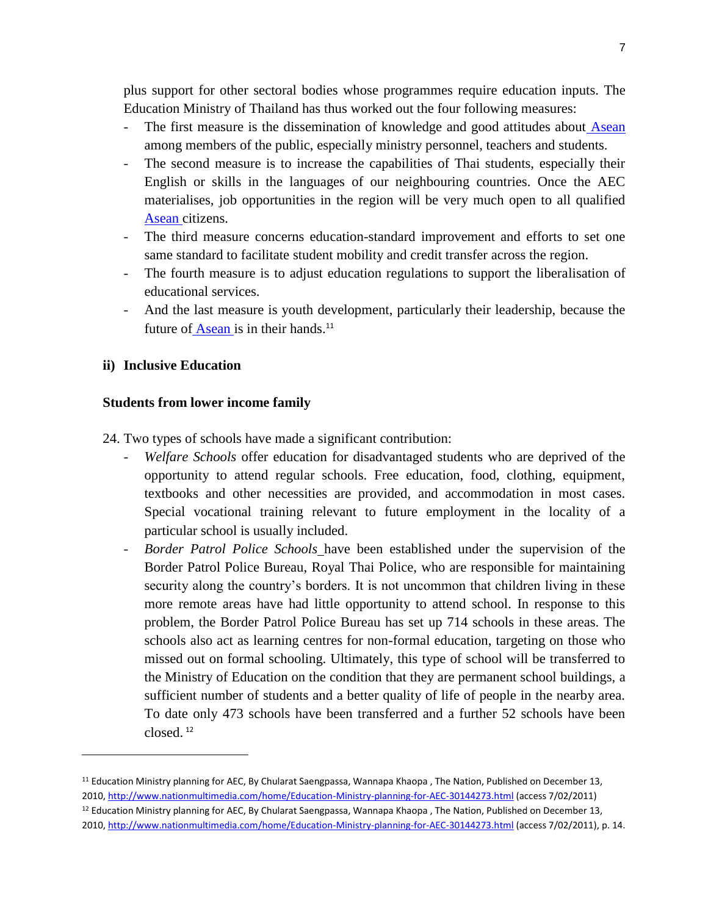plus support for other sectoral bodies whose programmes require education inputs. The Education Ministry of Thailand has thus worked out the four following measures:

- The first measure is the dissemination of knowledge and good attitudes about Asean among members of the public, especially ministry personnel, teachers and students.
- The second measure is to increase the capabilities of Thai students, especially their English or skills in the languages of our neighbouring countries. Once the AEC materialises, job opportunities in the region will be very much open to all qualifie[d](http://www.nationmultimedia.com/home/search/adsearch.php?keyword=+Asean+) [Asean c](http://www.nationmultimedia.com/home/search/adsearch.php?keyword=+Asean+)itizens.
- The third measure concerns education-standard improvement and efforts to set one same standard to facilitate student mobility and credit transfer across the region.
- The fourth measure is to adjust education regulations to support the liberalisation of educational services.
- And the last measure is youth development, particularly their leadership, because the future of [Asean i](http://www.nationmultimedia.com/home/search/adsearch.php?keyword=+Asean+)s in their hands.<sup>11</sup>

### **ii) Inclusive Education**

 $\overline{\phantom{a}}$ 

#### **Students from lower income family**

24. Two types of schools have made a significant contribution:

- Welfare Schools offer education for disadvantaged students who are deprived of the opportunity to attend regular schools. Free education, food, clothing, equipment, textbooks and other necessities are provided, and accommodation in most cases. Special vocational training relevant to future employment in the locality of a particular school is usually included.
- *Border Patrol Police Schools* have been established under the supervision of the Border Patrol Police Bureau, Royal Thai Police, who are responsible for maintaining security along the country's borders. It is not uncommon that children living in these more remote areas have had little opportunity to attend school. In response to this problem, the Border Patrol Police Bureau has set up 714 schools in these areas. The schools also act as learning centres for non-formal education, targeting on those who missed out on formal schooling. Ultimately, this type of school will be transferred to the Ministry of Education on the condition that they are permanent school buildings, a sufficient number of students and a better quality of life of people in the nearby area. To date only 473 schools have been transferred and a further 52 schools have been closed. <sup>12</sup>

<sup>&</sup>lt;sup>11</sup> Education Ministry planning for AEC, By Chularat Saengpassa, Wannapa Khaopa, The Nation, Published on December 13, 2010[, http://www.nationmultimedia.com/home/Education-Ministry-planning-for-AEC-30144273.html](http://www.nationmultimedia.com/home/Education-Ministry-planning-for-AEC-30144273.html) (access 7/02/2011)  $12$  Education Ministry planning for AEC, By Chularat Saengpassa, Wannapa Khaopa, The Nation, Published on December 13, 2010[, http://www.nationmultimedia.com/home/Education-Ministry-planning-for-AEC-30144273.html](http://www.nationmultimedia.com/home/Education-Ministry-planning-for-AEC-30144273.html) (access 7/02/2011), p. 14.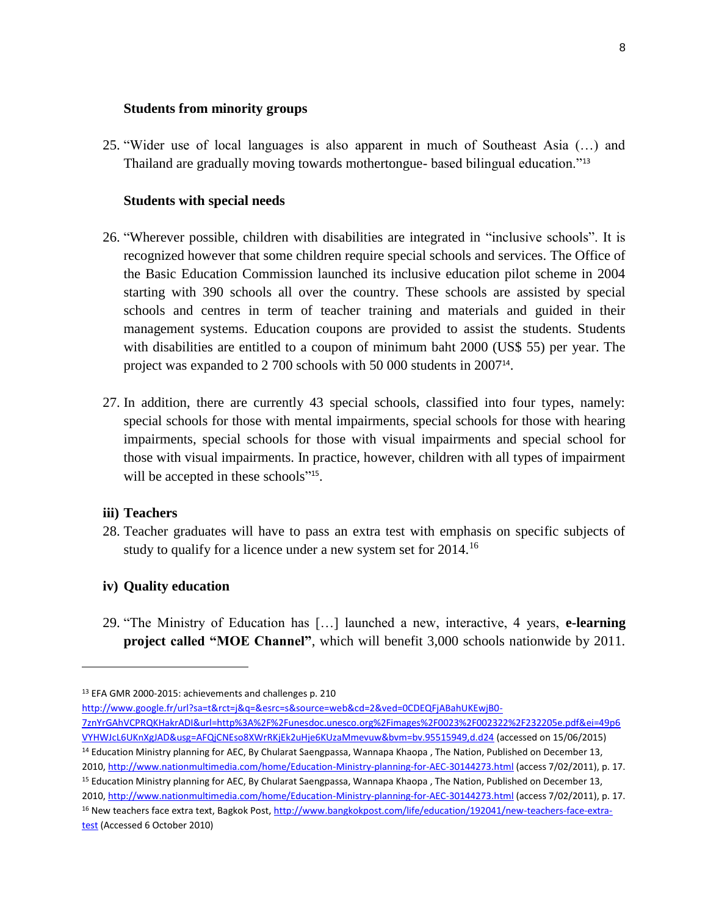#### **Students from minority groups**

25. "Wider use of local languages is also apparent in much of Southeast Asia (…) and Thailand are gradually moving towards mothertongue- based bilingual education."<sup>13</sup>

#### **Students with special needs**

- 26. "Wherever possible, children with disabilities are integrated in "inclusive schools". It is recognized however that some children require special schools and services. The Office of the Basic Education Commission launched its inclusive education pilot scheme in 2004 starting with 390 schools all over the country. These schools are assisted by special schools and centres in term of teacher training and materials and guided in their management systems. Education coupons are provided to assist the students. Students with disabilities are entitled to a coupon of minimum baht 2000 (US\$ 55) per year. The project was expanded to 2 700 schools with 50 000 students in 2007<sup>14</sup>.
- 27. In addition, there are currently 43 special schools, classified into four types, namely: special schools for those with mental impairments, special schools for those with hearing impairments, special schools for those with visual impairments and special school for those with visual impairments. In practice, however, children with all types of impairment will be accepted in these schools"<sup>15</sup>.

#### **iii) Teachers**

 $\overline{\phantom{a}}$ 

28. Teacher graduates will have to pass an extra test with emphasis on specific subjects of study to qualify for a licence under a new system set for 2014.<sup>16</sup>

#### **iv) Quality education**

29. "The Ministry of Education has […] launched a new, interactive, 4 years, **e-learning project called "MOE Channel"**, which will benefit 3,000 schools nationwide by 2011.

<sup>13</sup> EFA GMR 2000-2015: achievements and challenges p. 210

[http://www.google.fr/url?sa=t&rct=j&q=&esrc=s&source=web&cd=2&ved=0CDEQFjABahUKEwjB0-](http://www.google.fr/url?sa=t&rct=j&q=&esrc=s&source=web&cd=2&ved=0CDEQFjABahUKEwjB0-7znYrGAhVCPRQKHakrADI&url=http%3A%2F%2Funesdoc.unesco.org%2Fimages%2F0023%2F002322%2F232205e.pdf&ei=49p6VYHWJcL6UKnXgJAD&usg=AFQjCNEso8XWrRKjEk2uHje6KUzaMmevuw&bvm=bv.95515949,d.d24)

[<sup>7</sup>znYrGAhVCPRQKHakrADI&url=http%3A%2F%2Funesdoc.unesco.org%2Fimages%2F0023%2F002322%2F232205e.pdf&ei=49p6](http://www.google.fr/url?sa=t&rct=j&q=&esrc=s&source=web&cd=2&ved=0CDEQFjABahUKEwjB0-7znYrGAhVCPRQKHakrADI&url=http%3A%2F%2Funesdoc.unesco.org%2Fimages%2F0023%2F002322%2F232205e.pdf&ei=49p6VYHWJcL6UKnXgJAD&usg=AFQjCNEso8XWrRKjEk2uHje6KUzaMmevuw&bvm=bv.95515949,d.d24) [VYHWJcL6UKnXgJAD&usg=AFQjCNEso8XWrRKjEk2uHje6KUzaMmevuw&bvm=bv.95515949,d.d24](http://www.google.fr/url?sa=t&rct=j&q=&esrc=s&source=web&cd=2&ved=0CDEQFjABahUKEwjB0-7znYrGAhVCPRQKHakrADI&url=http%3A%2F%2Funesdoc.unesco.org%2Fimages%2F0023%2F002322%2F232205e.pdf&ei=49p6VYHWJcL6UKnXgJAD&usg=AFQjCNEso8XWrRKjEk2uHje6KUzaMmevuw&bvm=bv.95515949,d.d24) (accessed on 15/06/2015) <sup>14</sup> Education Ministry planning for AEC, By Chularat Saengpassa, Wannapa Khaopa, The Nation, Published on December 13, 2010[, http://www.nationmultimedia.com/home/Education-Ministry-planning-for-AEC-30144273.html](http://www.nationmultimedia.com/home/Education-Ministry-planning-for-AEC-30144273.html) (access 7/02/2011), p. 17. <sup>15</sup> Education Ministry planning for AEC, By Chularat Saengpassa, Wannapa Khaopa, The Nation, Published on December 13, 2010[, http://www.nationmultimedia.com/home/Education-Ministry-planning-for-AEC-30144273.html](http://www.nationmultimedia.com/home/Education-Ministry-planning-for-AEC-30144273.html) (access 7/02/2011), p. 17.

<sup>16</sup> New teachers face extra text, Bagkok Post, [http://www.bangkokpost.com/life/education/192041/new-teachers-face-extra](http://www.bangkokpost.com/life/education/192041/new-teachers-face-extra-test)[test](http://www.bangkokpost.com/life/education/192041/new-teachers-face-extra-test) (Accessed 6 October 2010)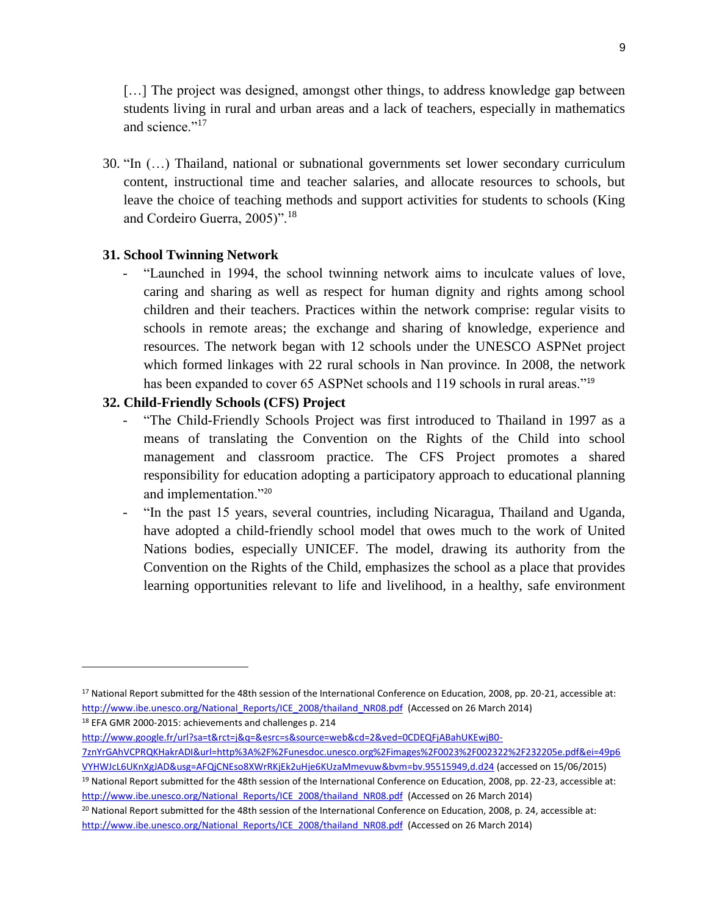[...] The project was designed, amongst other things, to address knowledge gap between students living in rural and urban areas and a lack of teachers, especially in mathematics and science."<sup>17</sup>

30. "In (…) Thailand, national or subnational governments set lower secondary curriculum content, instructional time and teacher salaries, and allocate resources to schools, but leave the choice of teaching methods and support activities for students to schools (King and Cordeiro Guerra, 2005)".<sup>18</sup>

#### **31. School Twinning Network**

"Launched in 1994, the school twinning network aims to inculcate values of love, caring and sharing as well as respect for human dignity and rights among school children and their teachers. Practices within the network comprise: regular visits to schools in remote areas; the exchange and sharing of knowledge, experience and resources. The network began with 12 schools under the UNESCO ASPNet project which formed linkages with 22 rural schools in Nan province. In 2008, the network has been expanded to cover 65 ASPNet schools and 119 schools in rural areas."<sup>19</sup>

#### **32. Child-Friendly Schools (CFS) Project**

- "The Child-Friendly Schools Project was first introduced to Thailand in 1997 as a means of translating the Convention on the Rights of the Child into school management and classroom practice. The CFS Project promotes a shared responsibility for education adopting a participatory approach to educational planning and implementation."<sup>20</sup>
- "In the past 15 years, several countries, including Nicaragua, Thailand and Uganda, have adopted a child-friendly school model that owes much to the work of United Nations bodies, especially UNICEF. The model, drawing its authority from the Convention on the Rights of the Child, emphasizes the school as a place that provides learning opportunities relevant to life and livelihood, in a healthy, safe environment

<sup>18</sup> EFA GMR 2000-2015: achievements and challenges p. 214

 $\overline{\phantom{a}}$ 

[http://www.google.fr/url?sa=t&rct=j&q=&esrc=s&source=web&cd=2&ved=0CDEQFjABahUKEwjB0-](http://www.google.fr/url?sa=t&rct=j&q=&esrc=s&source=web&cd=2&ved=0CDEQFjABahUKEwjB0-7znYrGAhVCPRQKHakrADI&url=http%3A%2F%2Funesdoc.unesco.org%2Fimages%2F0023%2F002322%2F232205e.pdf&ei=49p6VYHWJcL6UKnXgJAD&usg=AFQjCNEso8XWrRKjEk2uHje6KUzaMmevuw&bvm=bv.95515949,d.d24)

[http://www.ibe.unesco.org/National\\_Reports/ICE\\_2008/thailand\\_NR08.pdf](http://www.ibe.unesco.org/National_Reports/ICE_2008/thailand_NR08.pdf) (Accessed on 26 March 2014)

<sup>20</sup> National Report submitted for the 48th session of the International Conference on Education, 2008, p. 24, accessible at: [http://www.ibe.unesco.org/National\\_Reports/ICE\\_2008/thailand\\_NR08.pdf](http://www.ibe.unesco.org/National_Reports/ICE_2008/thailand_NR08.pdf) (Accessed on 26 March 2014)

<sup>17</sup> National Report submitted for the 48th session of the International Conference on Education, 2008, pp. 20-21, accessible at: [http://www.ibe.unesco.org/National\\_Reports/ICE\\_2008/thailand\\_NR08.pdf](http://www.ibe.unesco.org/National_Reports/ICE_2008/thailand_NR08.pdf) (Accessed on 26 March 2014)

[<sup>7</sup>znYrGAhVCPRQKHakrADI&url=http%3A%2F%2Funesdoc.unesco.org%2Fimages%2F0023%2F002322%2F232205e.pdf&ei=49p6](http://www.google.fr/url?sa=t&rct=j&q=&esrc=s&source=web&cd=2&ved=0CDEQFjABahUKEwjB0-7znYrGAhVCPRQKHakrADI&url=http%3A%2F%2Funesdoc.unesco.org%2Fimages%2F0023%2F002322%2F232205e.pdf&ei=49p6VYHWJcL6UKnXgJAD&usg=AFQjCNEso8XWrRKjEk2uHje6KUzaMmevuw&bvm=bv.95515949,d.d24) [VYHWJcL6UKnXgJAD&usg=AFQjCNEso8XWrRKjEk2uHje6KUzaMmevuw&bvm=bv.95515949,d.d24](http://www.google.fr/url?sa=t&rct=j&q=&esrc=s&source=web&cd=2&ved=0CDEQFjABahUKEwjB0-7znYrGAhVCPRQKHakrADI&url=http%3A%2F%2Funesdoc.unesco.org%2Fimages%2F0023%2F002322%2F232205e.pdf&ei=49p6VYHWJcL6UKnXgJAD&usg=AFQjCNEso8XWrRKjEk2uHje6KUzaMmevuw&bvm=bv.95515949,d.d24) (accessed on 15/06/2015) <sup>19</sup> National Report submitted for the 48th session of the International Conference on Education, 2008, pp. 22-23, accessible at: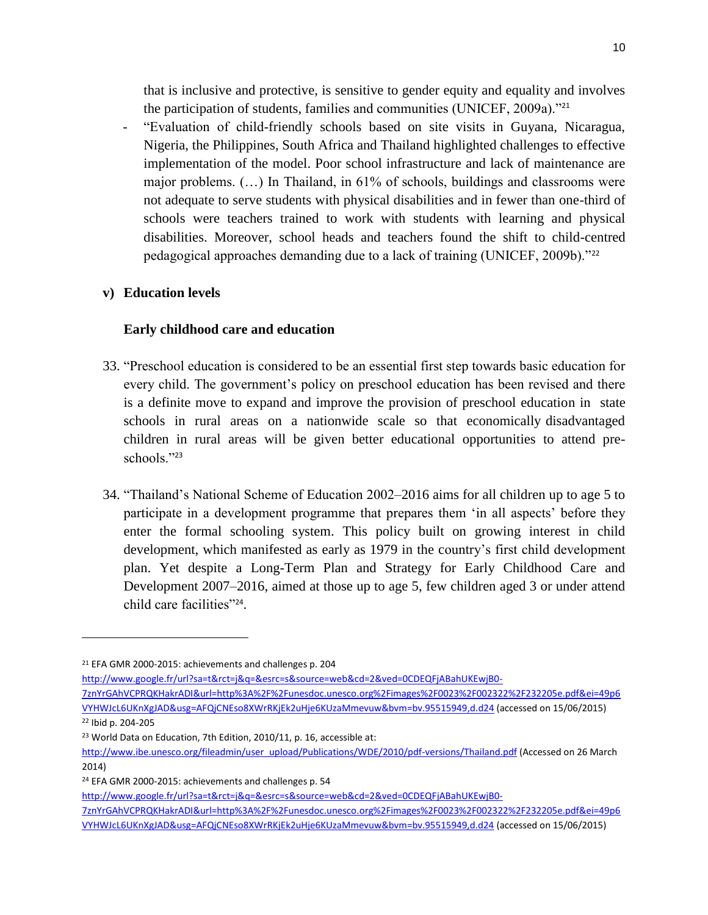that is inclusive and protective, is sensitive to gender equity and equality and involves the participation of students, families and communities (UNICEF, 2009a)."<sup>21</sup>

- "Evaluation of child-friendly schools based on site visits in Guyana, Nicaragua, Nigeria, the Philippines, South Africa and Thailand highlighted challenges to effective implementation of the model. Poor school infrastructure and lack of maintenance are major problems. (…) In Thailand, in 61% of schools, buildings and classrooms were not adequate to serve students with physical disabilities and in fewer than one-third of schools were teachers trained to work with students with learning and physical disabilities. Moreover, school heads and teachers found the shift to child-centred pedagogical approaches demanding due to a lack of training (UNICEF, 2009b)."<sup>22</sup>

### **v) Education levels**

### **Early childhood care and education**

- 33. "Preschool education is considered to be an essential first step towards basic education for every child. The government's policy on preschool education has been revised and there is a definite move to expand and improve the provision of preschool education in state schools in rural areas on a nationwide scale so that economically disadvantaged children in rural areas will be given better educational opportunities to attend preschools."<sup>23</sup>
- 34. "Thailand's National Scheme of Education 2002–2016 aims for all children up to age 5 to participate in a development programme that prepares them 'in all aspects' before they enter the formal schooling system. This policy built on growing interest in child development, which manifested as early as 1979 in the country's first child development plan. Yet despite a Long-Term Plan and Strategy for Early Childhood Care and Development 2007–2016, aimed at those up to age 5, few children aged 3 or under attend child care facilities"<sup>24</sup>.

l

[http://www.google.fr/url?sa=t&rct=j&q=&esrc=s&source=web&cd=2&ved=0CDEQFjABahUKEwjB0-](http://www.google.fr/url?sa=t&rct=j&q=&esrc=s&source=web&cd=2&ved=0CDEQFjABahUKEwjB0-7znYrGAhVCPRQKHakrADI&url=http%3A%2F%2Funesdoc.unesco.org%2Fimages%2F0023%2F002322%2F232205e.pdf&ei=49p6VYHWJcL6UKnXgJAD&usg=AFQjCNEso8XWrRKjEk2uHje6KUzaMmevuw&bvm=bv.95515949,d.d24)

[7znYrGAhVCPRQKHakrADI&url=http%3A%2F%2Funesdoc.unesco.org%2Fimages%2F0023%2F002322%2F232205e.pdf&ei=49p6](http://www.google.fr/url?sa=t&rct=j&q=&esrc=s&source=web&cd=2&ved=0CDEQFjABahUKEwjB0-7znYrGAhVCPRQKHakrADI&url=http%3A%2F%2Funesdoc.unesco.org%2Fimages%2F0023%2F002322%2F232205e.pdf&ei=49p6VYHWJcL6UKnXgJAD&usg=AFQjCNEso8XWrRKjEk2uHje6KUzaMmevuw&bvm=bv.95515949,d.d24) [VYHWJcL6UKnXgJAD&usg=AFQjCNEso8XWrRKjEk2uHje6KUzaMmevuw&bvm=bv.95515949,d.d24](http://www.google.fr/url?sa=t&rct=j&q=&esrc=s&source=web&cd=2&ved=0CDEQFjABahUKEwjB0-7znYrGAhVCPRQKHakrADI&url=http%3A%2F%2Funesdoc.unesco.org%2Fimages%2F0023%2F002322%2F232205e.pdf&ei=49p6VYHWJcL6UKnXgJAD&usg=AFQjCNEso8XWrRKjEk2uHje6KUzaMmevuw&bvm=bv.95515949,d.d24) (accessed on 15/06/2015) <sup>22</sup> Ibid p. 204-205

[7znYrGAhVCPRQKHakrADI&url=http%3A%2F%2Funesdoc.unesco.org%2Fimages%2F0023%2F002322%2F232205e.pdf&ei=49p6](http://www.google.fr/url?sa=t&rct=j&q=&esrc=s&source=web&cd=2&ved=0CDEQFjABahUKEwjB0-7znYrGAhVCPRQKHakrADI&url=http%3A%2F%2Funesdoc.unesco.org%2Fimages%2F0023%2F002322%2F232205e.pdf&ei=49p6VYHWJcL6UKnXgJAD&usg=AFQjCNEso8XWrRKjEk2uHje6KUzaMmevuw&bvm=bv.95515949,d.d24) [VYHWJcL6UKnXgJAD&usg=AFQjCNEso8XWrRKjEk2uHje6KUzaMmevuw&bvm=bv.95515949,d.d24](http://www.google.fr/url?sa=t&rct=j&q=&esrc=s&source=web&cd=2&ved=0CDEQFjABahUKEwjB0-7znYrGAhVCPRQKHakrADI&url=http%3A%2F%2Funesdoc.unesco.org%2Fimages%2F0023%2F002322%2F232205e.pdf&ei=49p6VYHWJcL6UKnXgJAD&usg=AFQjCNEso8XWrRKjEk2uHje6KUzaMmevuw&bvm=bv.95515949,d.d24) (accessed on 15/06/2015)

<sup>21</sup> EFA GMR 2000-2015: achievements and challenges p. 204

<sup>&</sup>lt;sup>23</sup> World Data on Education, 7th Edition, 2010/11, p. 16, accessible at:

[http://www.ibe.unesco.org/fileadmin/user\\_upload/Publications/WDE/2010/pdf-versions/Thailand.pdf](http://www.ibe.unesco.org/fileadmin/user_upload/Publications/WDE/2010/pdf-versions/Thailand.pdf) (Accessed on 26 March 2014)

<sup>24</sup> EFA GMR 2000-2015: achievements and challenges p. 54

[http://www.google.fr/url?sa=t&rct=j&q=&esrc=s&source=web&cd=2&ved=0CDEQFjABahUKEwjB0-](http://www.google.fr/url?sa=t&rct=j&q=&esrc=s&source=web&cd=2&ved=0CDEQFjABahUKEwjB0-7znYrGAhVCPRQKHakrADI&url=http%3A%2F%2Funesdoc.unesco.org%2Fimages%2F0023%2F002322%2F232205e.pdf&ei=49p6VYHWJcL6UKnXgJAD&usg=AFQjCNEso8XWrRKjEk2uHje6KUzaMmevuw&bvm=bv.95515949,d.d24)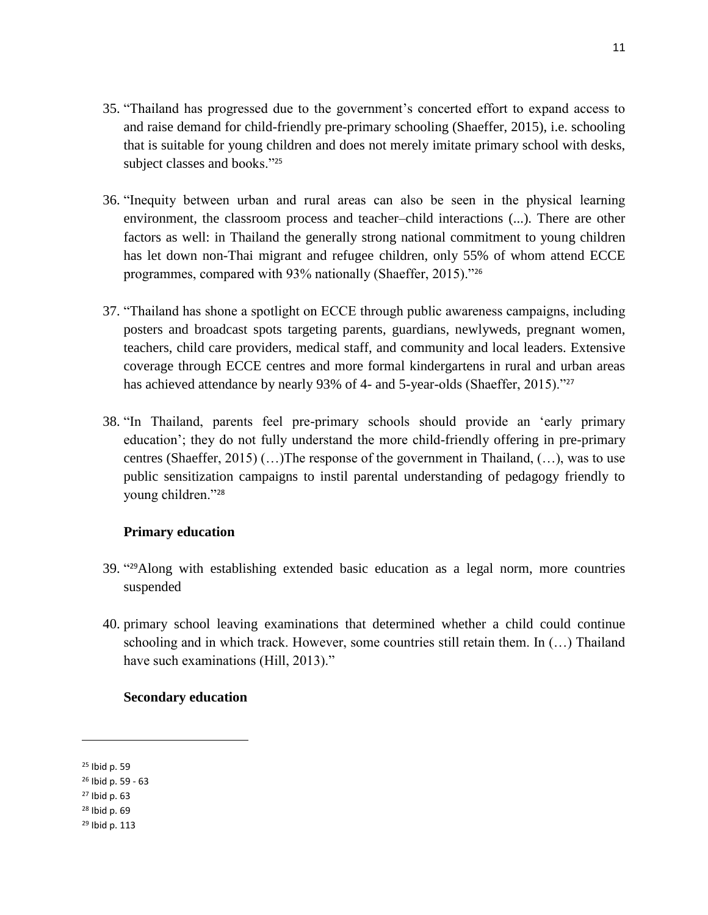- 35. "Thailand has progressed due to the government's concerted effort to expand access to and raise demand for child-friendly pre-primary schooling (Shaeffer, 2015), i.e. schooling that is suitable for young children and does not merely imitate primary school with desks, subject classes and books."<sup>25</sup>
- 36. "Inequity between urban and rural areas can also be seen in the physical learning environment, the classroom process and teacher–child interactions (...). There are other factors as well: in Thailand the generally strong national commitment to young children has let down non-Thai migrant and refugee children, only 55% of whom attend ECCE programmes, compared with 93% nationally (Shaeffer, 2015)."<sup>26</sup>
- 37. "Thailand has shone a spotlight on ECCE through public awareness campaigns, including posters and broadcast spots targeting parents, guardians, newlyweds, pregnant women, teachers, child care providers, medical staff, and community and local leaders. Extensive coverage through ECCE centres and more formal kindergartens in rural and urban areas has achieved attendance by nearly 93% of 4- and 5-year-olds (Shaeffer, 2015)."<sup>27</sup>
- 38. "In Thailand, parents feel pre-primary schools should provide an 'early primary education'; they do not fully understand the more child-friendly offering in pre-primary centres (Shaeffer, 2015) (…)The response of the government in Thailand, (…), was to use public sensitization campaigns to instil parental understanding of pedagogy friendly to young children."<sup>28</sup>

#### **Primary education**

- 39. " <sup>29</sup>Along with establishing extended basic education as a legal norm, more countries suspended
- 40. primary school leaving examinations that determined whether a child could continue schooling and in which track. However, some countries still retain them. In (…) Thailand have such examinations (Hill, 2013)."

#### **Secondary education**

 $\overline{a}$ 

<sup>25</sup> Ibid p. 59

<sup>26</sup> Ibid p. 59 - 63

<sup>27</sup> Ibid p. 63

<sup>28</sup> Ibid p. 69

<sup>29</sup> Ibid p. 113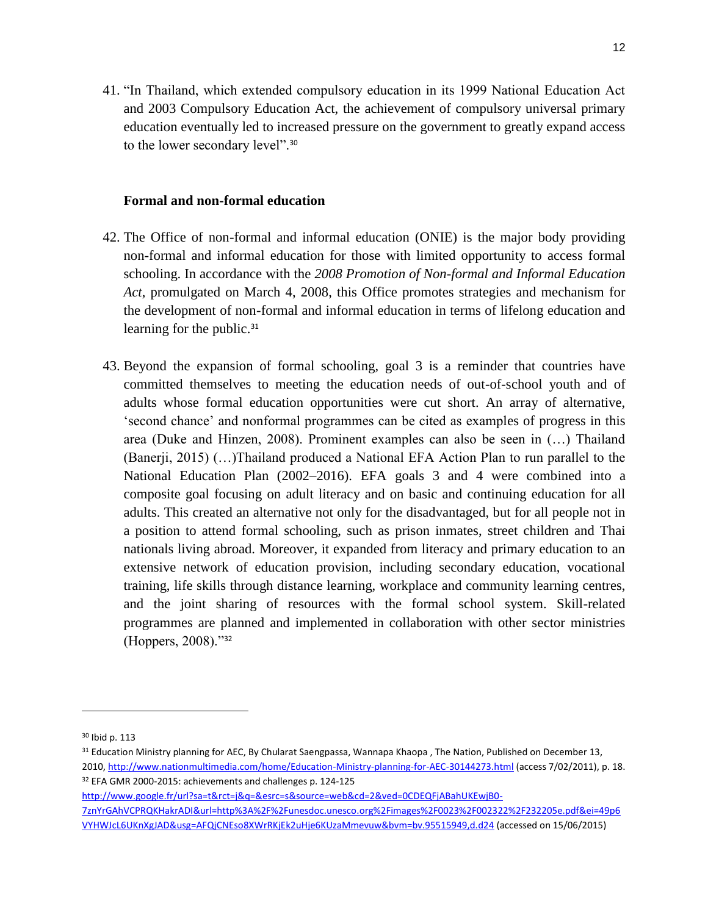41. "In Thailand, which extended compulsory education in its 1999 National Education Act and 2003 Compulsory Education Act, the achievement of compulsory universal primary education eventually led to increased pressure on the government to greatly expand access to the lower secondary level".<sup>30</sup>

#### **Formal and non-formal education**

- 42. The Office of non-formal and informal education (ONIE) is the major body providing non-formal and informal education for those with limited opportunity to access formal schooling. In accordance with the *2008 Promotion of Non-formal and Informal Education Act*, promulgated on March 4, 2008, this Office promotes strategies and mechanism for the development of non-formal and informal education in terms of lifelong education and learning for the public.<sup>31</sup>
- 43. Beyond the expansion of formal schooling, goal 3 is a reminder that countries have committed themselves to meeting the education needs of out-of-school youth and of adults whose formal education opportunities were cut short. An array of alternative, 'second chance' and nonformal programmes can be cited as examples of progress in this area (Duke and Hinzen, 2008). Prominent examples can also be seen in (…) Thailand (Banerji, 2015) (…)Thailand produced a National EFA Action Plan to run parallel to the National Education Plan (2002–2016). EFA goals 3 and 4 were combined into a composite goal focusing on adult literacy and on basic and continuing education for all adults. This created an alternative not only for the disadvantaged, but for all people not in a position to attend formal schooling, such as prison inmates, street children and Thai nationals living abroad. Moreover, it expanded from literacy and primary education to an extensive network of education provision, including secondary education, vocational training, life skills through distance learning, workplace and community learning centres, and the joint sharing of resources with the formal school system. Skill-related programmes are planned and implemented in collaboration with other sector ministries (Hoppers, 2008)."<sup>32</sup>

 $\overline{\phantom{a}}$ 

[http://www.google.fr/url?sa=t&rct=j&q=&esrc=s&source=web&cd=2&ved=0CDEQFjABahUKEwjB0-](http://www.google.fr/url?sa=t&rct=j&q=&esrc=s&source=web&cd=2&ved=0CDEQFjABahUKEwjB0-7znYrGAhVCPRQKHakrADI&url=http%3A%2F%2Funesdoc.unesco.org%2Fimages%2F0023%2F002322%2F232205e.pdf&ei=49p6VYHWJcL6UKnXgJAD&usg=AFQjCNEso8XWrRKjEk2uHje6KUzaMmevuw&bvm=bv.95515949,d.d24)

[7znYrGAhVCPRQKHakrADI&url=http%3A%2F%2Funesdoc.unesco.org%2Fimages%2F0023%2F002322%2F232205e.pdf&ei=49p6](http://www.google.fr/url?sa=t&rct=j&q=&esrc=s&source=web&cd=2&ved=0CDEQFjABahUKEwjB0-7znYrGAhVCPRQKHakrADI&url=http%3A%2F%2Funesdoc.unesco.org%2Fimages%2F0023%2F002322%2F232205e.pdf&ei=49p6VYHWJcL6UKnXgJAD&usg=AFQjCNEso8XWrRKjEk2uHje6KUzaMmevuw&bvm=bv.95515949,d.d24) [VYHWJcL6UKnXgJAD&usg=AFQjCNEso8XWrRKjEk2uHje6KUzaMmevuw&bvm=bv.95515949,d.d24](http://www.google.fr/url?sa=t&rct=j&q=&esrc=s&source=web&cd=2&ved=0CDEQFjABahUKEwjB0-7znYrGAhVCPRQKHakrADI&url=http%3A%2F%2Funesdoc.unesco.org%2Fimages%2F0023%2F002322%2F232205e.pdf&ei=49p6VYHWJcL6UKnXgJAD&usg=AFQjCNEso8XWrRKjEk2uHje6KUzaMmevuw&bvm=bv.95515949,d.d24) (accessed on 15/06/2015)

<sup>30</sup> Ibid p. 113

<sup>&</sup>lt;sup>31</sup> Education Ministry planning for AEC, By Chularat Saengpassa, Wannapa Khaopa, The Nation, Published on December 13, 2010[, http://www.nationmultimedia.com/home/Education-Ministry-planning-for-AEC-30144273.html](http://www.nationmultimedia.com/home/Education-Ministry-planning-for-AEC-30144273.html) (access 7/02/2011), p. 18. <sup>32</sup> EFA GMR 2000-2015: achievements and challenges p. 124-125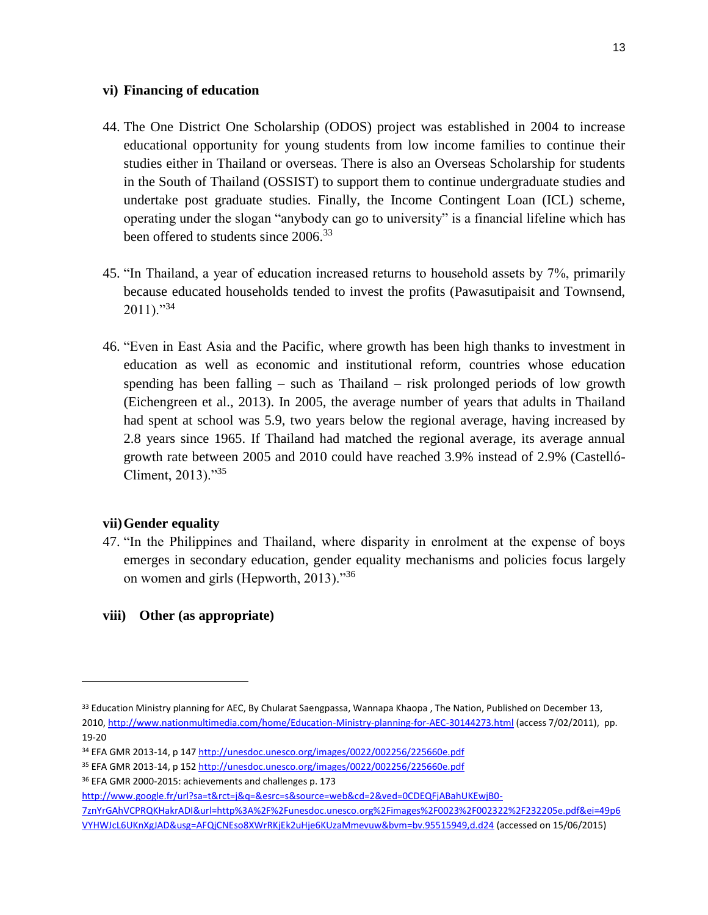#### **vi) Financing of education**

- 44. The One District One Scholarship (ODOS) project was established in 2004 to increase educational opportunity for young students from low income families to continue their studies either in Thailand or overseas. There is also an Overseas Scholarship for students in the South of Thailand (OSSIST) to support them to continue undergraduate studies and undertake post graduate studies. Finally, the Income Contingent Loan (ICL) scheme, operating under the slogan "anybody can go to university" is a financial lifeline which has been offered to students since 2006.<sup>33</sup>
- 45. "In Thailand, a year of education increased returns to household assets by 7%, primarily because educated households tended to invest the profits (Pawasutipaisit and Townsend,  $2011$ )."<sup>34</sup>
- 46. "Even in East Asia and the Pacific, where growth has been high thanks to investment in education as well as economic and institutional reform, countries whose education spending has been falling – such as Thailand – risk prolonged periods of low growth (Eichengreen et al., 2013). In 2005, the average number of years that adults in Thailand had spent at school was 5.9, two years below the regional average, having increased by 2.8 years since 1965. If Thailand had matched the regional average, its average annual growth rate between 2005 and 2010 could have reached 3.9% instead of 2.9% (Castelló-Climent, 2013)."<sup>35</sup>

#### **vii)Gender equality**

l

47. "In the Philippines and Thailand, where disparity in enrolment at the expense of boys emerges in secondary education, gender equality mechanisms and policies focus largely on women and girls (Hepworth, 2013)."<sup>36</sup>

# **viii) Other (as appropriate)**

<sup>&</sup>lt;sup>33</sup> Education Ministry planning for AEC, By Chularat Saengpassa, Wannapa Khaopa, The Nation, Published on December 13, 2010[, http://www.nationmultimedia.com/home/Education-Ministry-planning-for-AEC-30144273.html](http://www.nationmultimedia.com/home/Education-Ministry-planning-for-AEC-30144273.html) (access 7/02/2011), pp. 19-20

<sup>34</sup> EFA GMR 2013-14, p 147<http://unesdoc.unesco.org/images/0022/002256/225660e.pdf>

<sup>35</sup> EFA GMR 2013-14, p 152<http://unesdoc.unesco.org/images/0022/002256/225660e.pdf>

<sup>36</sup> EFA GMR 2000-2015: achievements and challenges p. 173

[http://www.google.fr/url?sa=t&rct=j&q=&esrc=s&source=web&cd=2&ved=0CDEQFjABahUKEwjB0-](http://www.google.fr/url?sa=t&rct=j&q=&esrc=s&source=web&cd=2&ved=0CDEQFjABahUKEwjB0-7znYrGAhVCPRQKHakrADI&url=http%3A%2F%2Funesdoc.unesco.org%2Fimages%2F0023%2F002322%2F232205e.pdf&ei=49p6VYHWJcL6UKnXgJAD&usg=AFQjCNEso8XWrRKjEk2uHje6KUzaMmevuw&bvm=bv.95515949,d.d24)

[<sup>7</sup>znYrGAhVCPRQKHakrADI&url=http%3A%2F%2Funesdoc.unesco.org%2Fimages%2F0023%2F002322%2F232205e.pdf&ei=49p6](http://www.google.fr/url?sa=t&rct=j&q=&esrc=s&source=web&cd=2&ved=0CDEQFjABahUKEwjB0-7znYrGAhVCPRQKHakrADI&url=http%3A%2F%2Funesdoc.unesco.org%2Fimages%2F0023%2F002322%2F232205e.pdf&ei=49p6VYHWJcL6UKnXgJAD&usg=AFQjCNEso8XWrRKjEk2uHje6KUzaMmevuw&bvm=bv.95515949,d.d24) [VYHWJcL6UKnXgJAD&usg=AFQjCNEso8XWrRKjEk2uHje6KUzaMmevuw&bvm=bv.95515949,d.d24](http://www.google.fr/url?sa=t&rct=j&q=&esrc=s&source=web&cd=2&ved=0CDEQFjABahUKEwjB0-7znYrGAhVCPRQKHakrADI&url=http%3A%2F%2Funesdoc.unesco.org%2Fimages%2F0023%2F002322%2F232205e.pdf&ei=49p6VYHWJcL6UKnXgJAD&usg=AFQjCNEso8XWrRKjEk2uHje6KUzaMmevuw&bvm=bv.95515949,d.d24) (accessed on 15/06/2015)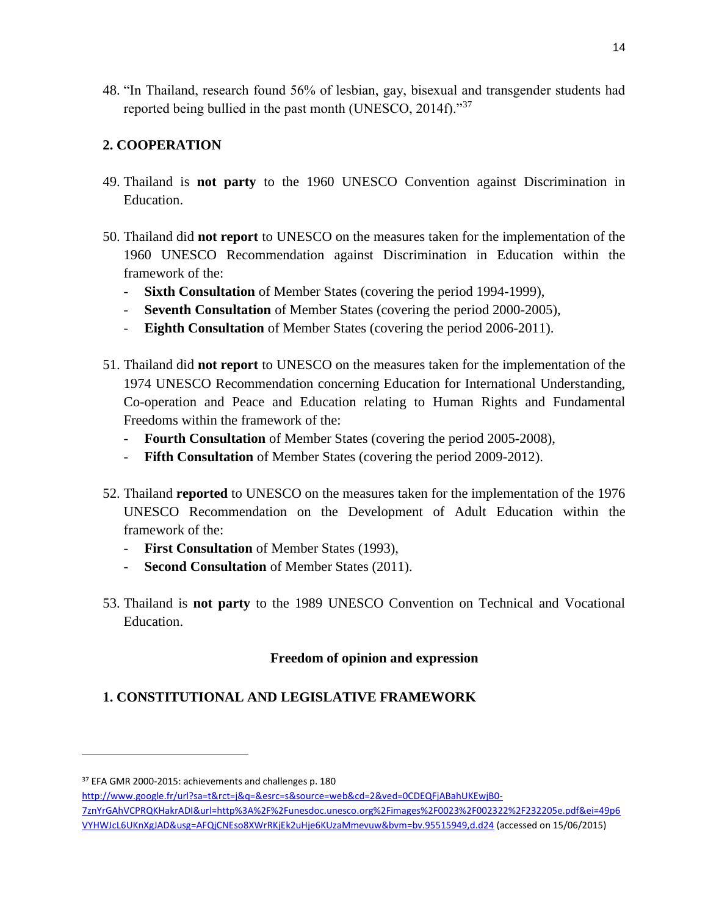48. "In Thailand, research found 56% of lesbian, gay, bisexual and transgender students had reported being bullied in the past month (UNESCO, 2014f)."<sup>37</sup>

# **2. COOPERATION**

- 49. Thailand is **not party** to the 1960 UNESCO Convention against Discrimination in Education.
- 50. Thailand did **not report** to UNESCO on the measures taken for the implementation of the 1960 UNESCO Recommendation against Discrimination in Education within the framework of the:
	- **Sixth Consultation** of Member States (covering the period 1994-1999),
	- **Seventh Consultation** of Member States (covering the period 2000-2005),
	- **Eighth Consultation** of Member States (covering the period 2006-2011).
- 51. Thailand did **not report** to UNESCO on the measures taken for the implementation of the 1974 UNESCO Recommendation concerning Education for International Understanding, Co-operation and Peace and Education relating to Human Rights and Fundamental Freedoms within the framework of the:
	- **Fourth Consultation** of Member States (covering the period 2005-2008),
	- **Fifth Consultation** of Member States (covering the period 2009-2012).
- 52. Thailand **reported** to UNESCO on the measures taken for the implementation of the 1976 UNESCO Recommendation on the Development of Adult Education within the framework of the:
	- **First Consultation** of Member States (1993),
	- **Second Consultation** of Member States (2011).
- 53. Thailand is **not party** to the 1989 UNESCO Convention on Technical and Vocational Education.

# **Freedom of opinion and expression**

# **1. CONSTITUTIONAL AND LEGISLATIVE FRAMEWORK**

 $\overline{\phantom{a}}$ 

[http://www.google.fr/url?sa=t&rct=j&q=&esrc=s&source=web&cd=2&ved=0CDEQFjABahUKEwjB0-](http://www.google.fr/url?sa=t&rct=j&q=&esrc=s&source=web&cd=2&ved=0CDEQFjABahUKEwjB0-7znYrGAhVCPRQKHakrADI&url=http%3A%2F%2Funesdoc.unesco.org%2Fimages%2F0023%2F002322%2F232205e.pdf&ei=49p6VYHWJcL6UKnXgJAD&usg=AFQjCNEso8XWrRKjEk2uHje6KUzaMmevuw&bvm=bv.95515949,d.d24)

<sup>37</sup> EFA GMR 2000-2015: achievements and challenges p. 180

[<sup>7</sup>znYrGAhVCPRQKHakrADI&url=http%3A%2F%2Funesdoc.unesco.org%2Fimages%2F0023%2F002322%2F232205e.pdf&ei=49p6](http://www.google.fr/url?sa=t&rct=j&q=&esrc=s&source=web&cd=2&ved=0CDEQFjABahUKEwjB0-7znYrGAhVCPRQKHakrADI&url=http%3A%2F%2Funesdoc.unesco.org%2Fimages%2F0023%2F002322%2F232205e.pdf&ei=49p6VYHWJcL6UKnXgJAD&usg=AFQjCNEso8XWrRKjEk2uHje6KUzaMmevuw&bvm=bv.95515949,d.d24) [VYHWJcL6UKnXgJAD&usg=AFQjCNEso8XWrRKjEk2uHje6KUzaMmevuw&bvm=bv.95515949,d.d24](http://www.google.fr/url?sa=t&rct=j&q=&esrc=s&source=web&cd=2&ved=0CDEQFjABahUKEwjB0-7znYrGAhVCPRQKHakrADI&url=http%3A%2F%2Funesdoc.unesco.org%2Fimages%2F0023%2F002322%2F232205e.pdf&ei=49p6VYHWJcL6UKnXgJAD&usg=AFQjCNEso8XWrRKjEk2uHje6KUzaMmevuw&bvm=bv.95515949,d.d24) (accessed on 15/06/2015)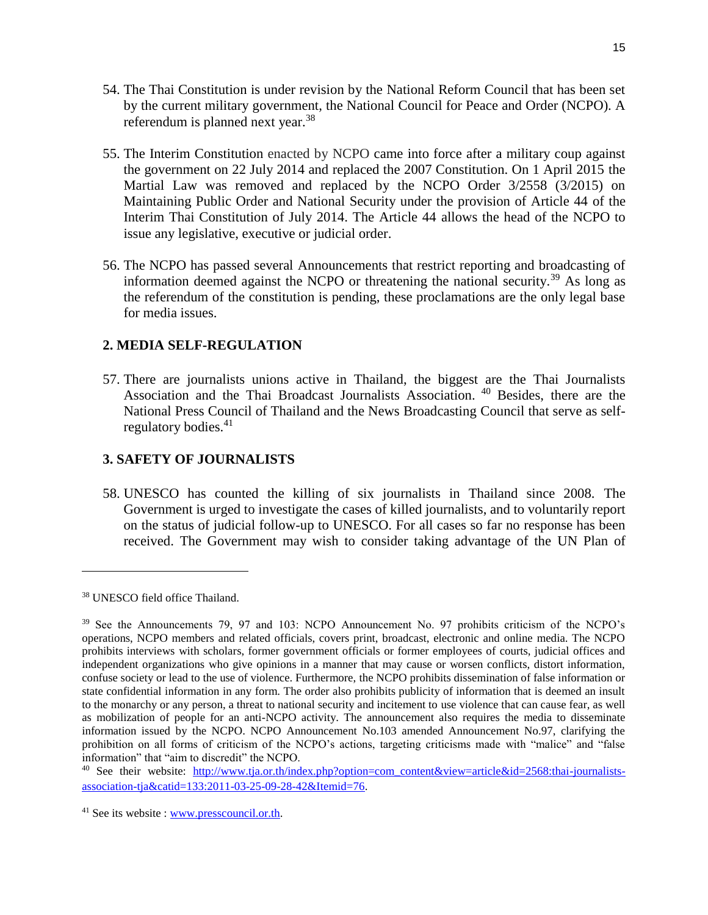- 54. The Thai Constitution is under revision by the National Reform Council that has been set by the current military government, the National Council for Peace and Order (NCPO). A referendum is planned next year.<sup>38</sup>
- 55. The Interim Constitution enacted by NCPO came into force after a military coup against the government on 22 July 2014 and replaced the 2007 Constitution. On 1 April 2015 the Martial Law was removed and replaced by the NCPO Order 3/2558 (3/2015) on Maintaining Public Order and National Security under the provision of Article 44 of the Interim Thai Constitution of July 2014. The Article 44 allows the head of the NCPO to issue any legislative, executive or judicial order.
- 56. The NCPO has passed several Announcements that restrict reporting and broadcasting of information deemed against the NCPO or threatening the national security.<sup>39</sup> As long as the referendum of the constitution is pending, these proclamations are the only legal base for media issues.

# **2. MEDIA SELF-REGULATION**

57. There are journalists unions active in Thailand, the biggest are the Thai Journalists Association and the Thai Broadcast Journalists Association. <sup>40</sup> Besides, there are the National Press Council of Thailand and the News Broadcasting Council that serve as selfregulatory bodies.<sup>41</sup>

## **3. SAFETY OF JOURNALISTS**

58. UNESCO has counted the killing of six journalists in Thailand since 2008. The Government is urged to investigate the cases of killed journalists, and to voluntarily report on the status of judicial follow-up to UNESCO. For all cases so far no response has been received. The Government may wish to consider taking advantage of the UN Plan of

 $\overline{a}$ 

<sup>38</sup> UNESCO field office Thailand.

<sup>&</sup>lt;sup>39</sup> See the Announcements 79, 97 and 103: NCPO Announcement No. 97 prohibits criticism of the NCPO's operations, NCPO members and related officials, covers print, broadcast, electronic and online media. The NCPO prohibits interviews with scholars, former government officials or former employees of courts, judicial offices and independent organizations who give opinions in a manner that may cause or worsen conflicts, distort information, confuse society or lead to the use of violence. Furthermore, the NCPO prohibits dissemination of false information or state confidential information in any form. The order also prohibits publicity of information that is deemed an insult to the monarchy or any person, a threat to national security and incitement to use violence that can cause fear, as well as mobilization of people for an anti-NCPO activity. The announcement also requires the media to disseminate information issued by the NCPO. NCPO Announcement No.103 amended Announcement No.97, clarifying the prohibition on all forms of criticism of the NCPO's actions, targeting criticisms made with "malice" and "false information" that "aim to discredit" the NCPO.

<sup>&</sup>lt;sup>40</sup> See their website: [http://www.tja.or.th/index.php?option=com\\_content&view=article&id=2568:thai-journalists](http://www.tja.or.th/index.php?option=com_content&view=article&id=2568:thai-journalists-association-tja&catid=133:2011-03-25-09-28-42&Itemid=76)[association-tja&catid=133:2011-03-25-09-28-42&Itemid=76.](http://www.tja.or.th/index.php?option=com_content&view=article&id=2568:thai-journalists-association-tja&catid=133:2011-03-25-09-28-42&Itemid=76)

<sup>41</sup> See its website : [www.presscouncil.or.th.](http://www.presscouncil.or.th/)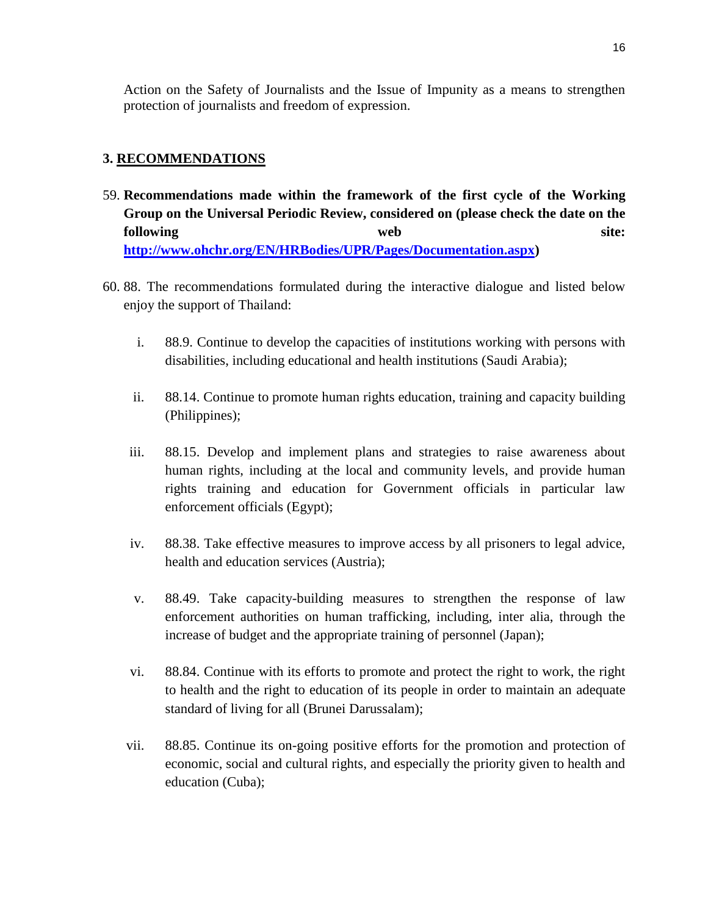Action on the Safety of Journalists and the Issue of Impunity as a means to strengthen protection of journalists and freedom of expression.

# **3. RECOMMENDATIONS**

- 59. **Recommendations made within the framework of the first cycle of the Working Group on the Universal Periodic Review, considered on (please check the date on the following** web site: **[http://www.ohchr.org/EN/HRBodies/UPR/Pages/Documentation.aspx\)](http://www.ohchr.org/EN/HRBodies/UPR/Pages/Documentation.aspx)**
- 60. 88. The recommendations formulated during the interactive dialogue and listed below enjoy the support of Thailand:
	- i. 88.9. Continue to develop the capacities of institutions working with persons with disabilities, including educational and health institutions (Saudi Arabia);
	- ii. 88.14. Continue to promote human rights education, training and capacity building (Philippines);
	- iii. 88.15. Develop and implement plans and strategies to raise awareness about human rights, including at the local and community levels, and provide human rights training and education for Government officials in particular law enforcement officials (Egypt);
	- iv. 88.38. Take effective measures to improve access by all prisoners to legal advice, health and education services (Austria);
	- v. 88.49. Take capacity-building measures to strengthen the response of law enforcement authorities on human trafficking, including, inter alia, through the increase of budget and the appropriate training of personnel (Japan);
	- vi. 88.84. Continue with its efforts to promote and protect the right to work, the right to health and the right to education of its people in order to maintain an adequate standard of living for all (Brunei Darussalam);
	- vii. 88.85. Continue its on-going positive efforts for the promotion and protection of economic, social and cultural rights, and especially the priority given to health and education (Cuba);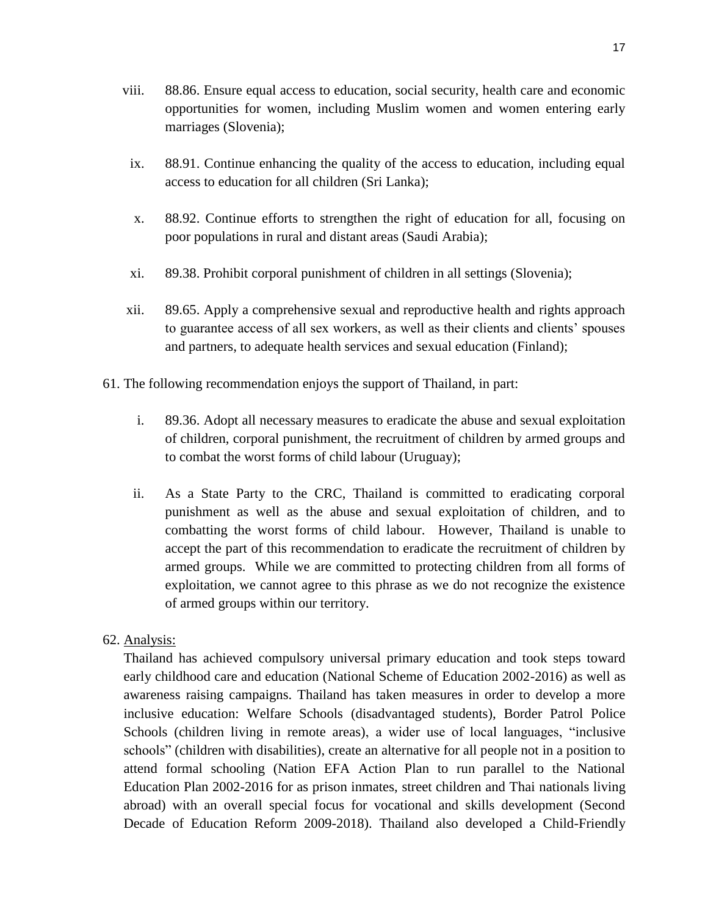- viii. 88.86. Ensure equal access to education, social security, health care and economic opportunities for women, including Muslim women and women entering early marriages (Slovenia);
- ix. 88.91. Continue enhancing the quality of the access to education, including equal access to education for all children (Sri Lanka);
- x. 88.92. Continue efforts to strengthen the right of education for all, focusing on poor populations in rural and distant areas (Saudi Arabia);
- xi. 89.38. Prohibit corporal punishment of children in all settings (Slovenia);
- xii. 89.65. Apply a comprehensive sexual and reproductive health and rights approach to guarantee access of all sex workers, as well as their clients and clients' spouses and partners, to adequate health services and sexual education (Finland);
- 61. The following recommendation enjoys the support of Thailand, in part:
	- i. 89.36. Adopt all necessary measures to eradicate the abuse and sexual exploitation of children, corporal punishment, the recruitment of children by armed groups and to combat the worst forms of child labour (Uruguay);
	- ii. As a State Party to the CRC, Thailand is committed to eradicating corporal punishment as well as the abuse and sexual exploitation of children, and to combatting the worst forms of child labour. However, Thailand is unable to accept the part of this recommendation to eradicate the recruitment of children by armed groups. While we are committed to protecting children from all forms of exploitation, we cannot agree to this phrase as we do not recognize the existence of armed groups within our territory.
- 62. Analysis:

Thailand has achieved compulsory universal primary education and took steps toward early childhood care and education (National Scheme of Education 2002-2016) as well as awareness raising campaigns. Thailand has taken measures in order to develop a more inclusive education: Welfare Schools (disadvantaged students), Border Patrol Police Schools (children living in remote areas), a wider use of local languages, "inclusive schools" (children with disabilities), create an alternative for all people not in a position to attend formal schooling (Nation EFA Action Plan to run parallel to the National Education Plan 2002-2016 for as prison inmates, street children and Thai nationals living abroad) with an overall special focus for vocational and skills development (Second Decade of Education Reform 2009-2018). Thailand also developed a Child-Friendly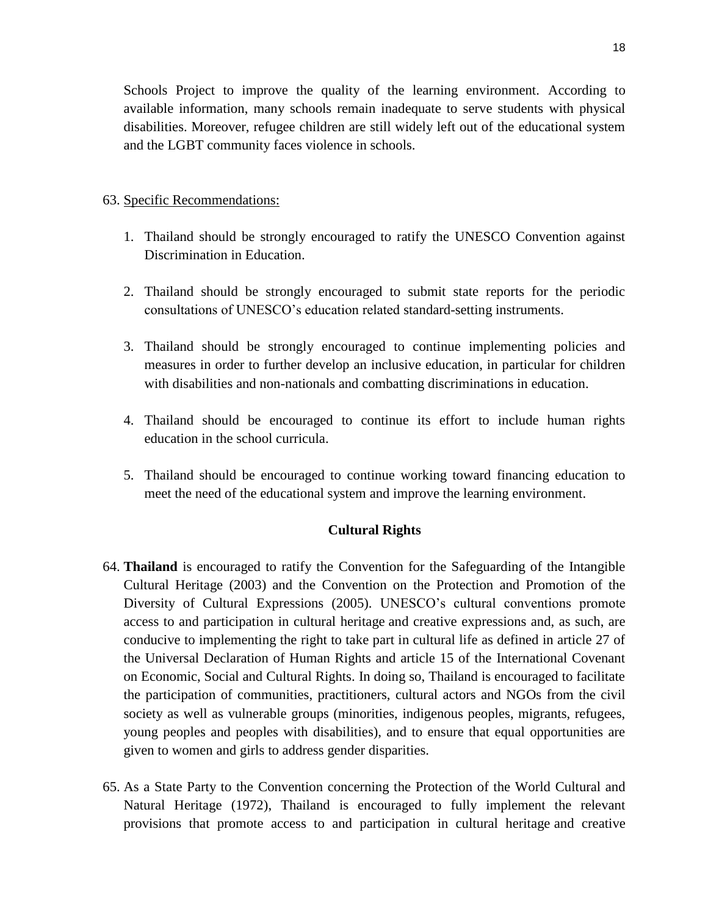Schools Project to improve the quality of the learning environment. According to available information, many schools remain inadequate to serve students with physical disabilities. Moreover, refugee children are still widely left out of the educational system and the LGBT community faces violence in schools.

# 63. Specific Recommendations:

- 1. Thailand should be strongly encouraged to ratify the UNESCO Convention against Discrimination in Education.
- 2. Thailand should be strongly encouraged to submit state reports for the periodic consultations of UNESCO's education related standard-setting instruments.
- 3. Thailand should be strongly encouraged to continue implementing policies and measures in order to further develop an inclusive education, in particular for children with disabilities and non-nationals and combatting discriminations in education.
- 4. Thailand should be encouraged to continue its effort to include human rights education in the school curricula.
- 5. Thailand should be encouraged to continue working toward financing education to meet the need of the educational system and improve the learning environment.

#### **Cultural Rights**

- 64. **Thailand** is encouraged to ratify the Convention for the Safeguarding of the Intangible Cultural Heritage (2003) and the Convention on the Protection and Promotion of the Diversity of Cultural Expressions (2005). UNESCO's cultural conventions promote access to and participation in cultural heritage and creative expressions and, as such, are conducive to implementing the right to take part in cultural life as defined in article 27 of the Universal Declaration of Human Rights and article 15 of the International Covenant on Economic, Social and Cultural Rights. In doing so, Thailand is encouraged to facilitate the participation of communities, practitioners, cultural actors and NGOs from the civil society as well as vulnerable groups (minorities, indigenous peoples, migrants, refugees, young peoples and peoples with disabilities), and to ensure that equal opportunities are given to women and girls to address gender disparities.
- 65. As a State Party to the Convention concerning the Protection of the World Cultural and Natural Heritage (1972), Thailand is encouraged to fully implement the relevant provisions that promote access to and participation in cultural heritage and creative